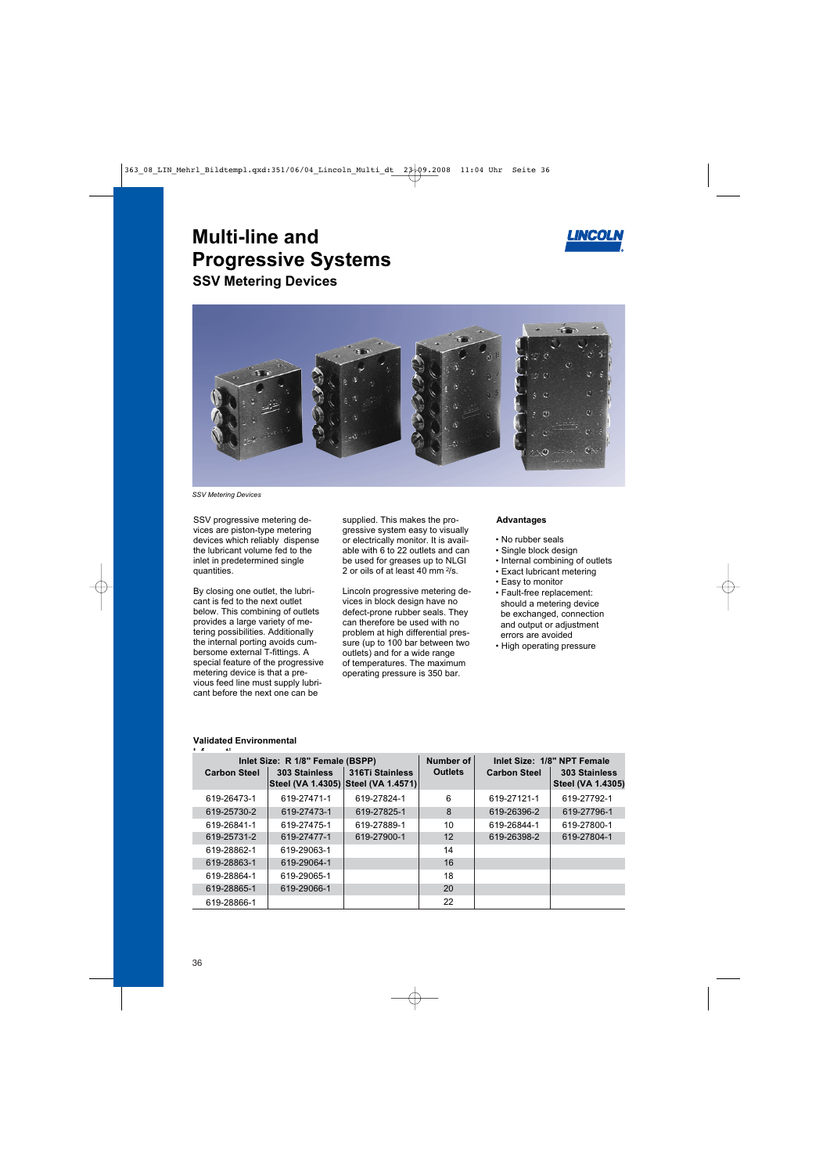

# **Multi-line and Progressive Systems SSV Metering Devices**



*SSV Metering Devices*

SSV progressive metering devices are piston-type metering devices which reliably dispense the lubricant volume fed to the inlet in predetermined single quantities.

By closing one outlet, the lubricant is fed to the next outlet below. This combining of outlets provides a large variety of metering possibilities. Additionally the internal porting avoids cumbersome external T-fittings. A special feature of the progressive metering device is that a previous feed line must supply lubricant before the next one can be

supplied. This makes the progressive system easy to visually or electrically monitor. It is available with 6 to 22 outlets and can be used for greases up to NLGI 2 or oils of at least 40 mm  $2/s$ .

Lincoln progressive metering devices in block design have no defect-prone rubber seals. They can therefore be used with no problem at high differential pressure (up to 100 bar between two outlets) and for a wide range of temperatures. The maximum operating pressure is 350 bar.

#### **Advantages**

- No rubber seals
- Single block design
- Internal combining of outlets
- Exact lubricant metering
- Easy to monitor
- Fault-free replacement: should a metering device be exchanged, connection and output or adjustment errors are avoided
- High operating pressure

#### **Validated Environmental**

| Inlet Size: R 1/8" Female (BSPP) |                     |               | Number of                                              | Inlet Size: 1/8" NPT Female |                     |                                           |  |
|----------------------------------|---------------------|---------------|--------------------------------------------------------|-----------------------------|---------------------|-------------------------------------------|--|
|                                  | <b>Carbon Steel</b> | 303 Stainless | 316Ti Stainless<br>Steel (VA 1.4305) Steel (VA 1.4571) | <b>Outlets</b>              | <b>Carbon Steel</b> | 303 Stainless<br><b>Steel (VA 1.4305)</b> |  |
|                                  | 619-26473-1         | 619-27471-1   | 619-27824-1                                            | 6                           | 619-27121-1         | 619-27792-1                               |  |
|                                  | 619-25730-2         | 619-27473-1   | 619-27825-1                                            | 8                           | 619-26396-2         | 619-27796-1                               |  |
|                                  | 619-26841-1         | 619-27475-1   | 619-27889-1                                            | 10                          | 619-26844-1         | 619-27800-1                               |  |
|                                  | 619-25731-2         | 619-27477-1   | 619-27900-1                                            | 12 <sup>2</sup>             | 619-26398-2         | 619-27804-1                               |  |
|                                  | 619-28862-1         | 619-29063-1   |                                                        | 14                          |                     |                                           |  |
|                                  | 619-28863-1         | 619-29064-1   |                                                        | 16                          |                     |                                           |  |
|                                  | 619-28864-1         | 619-29065-1   |                                                        | 18                          |                     |                                           |  |
|                                  | 619-28865-1         | 619-29066-1   |                                                        | 20                          |                     |                                           |  |
|                                  | 619-28866-1         |               |                                                        | 22                          |                     |                                           |  |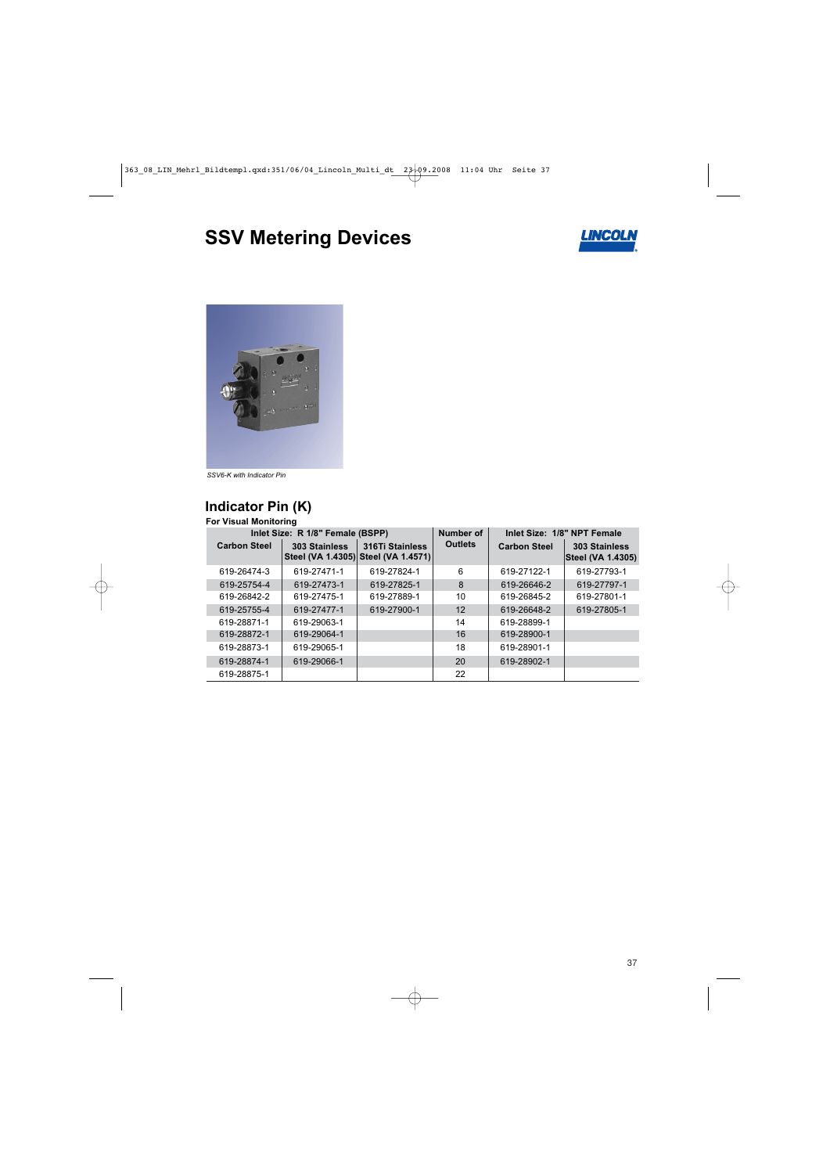# **SSV Metering Devices**





*SSV6-K with Indicator Pin*

# **Indicator Pin (K)**

#### **For Visual Monitoring**

| Inlet Size: R 1/8" Female (BSPP) |               |                                                        | Number of         | Inlet Size: 1/8" NPT Female |                                           |
|----------------------------------|---------------|--------------------------------------------------------|-------------------|-----------------------------|-------------------------------------------|
| <b>Carbon Steel</b>              | 303 Stainless | 316Ti Stainless<br>Steel (VA 1.4305) Steel (VA 1.4571) | <b>Outlets</b>    | <b>Carbon Steel</b>         | 303 Stainless<br><b>Steel (VA 1.4305)</b> |
| 619-26474-3                      | 619-27471-1   | 619-27824-1                                            | 6                 | 619-27122-1                 | 619-27793-1                               |
| 619-25754-4                      | 619-27473-1   | 619-27825-1                                            | 8                 | 619-26646-2                 | 619-27797-1                               |
| 619-26842-2                      | 619-27475-1   | 619-27889-1                                            | 10                | 619-26845-2                 | 619-27801-1                               |
| 619-25755-4                      | 619-27477-1   | 619-27900-1                                            | $12 \overline{ }$ | 619-26648-2                 | 619-27805-1                               |
| 619-28871-1                      | 619-29063-1   |                                                        | 14                | 619-28899-1                 |                                           |
| 619-28872-1                      | 619-29064-1   |                                                        | 16                | 619-28900-1                 |                                           |
| 619-28873-1                      | 619-29065-1   |                                                        | 18                | 619-28901-1                 |                                           |
| 619-28874-1                      | 619-29066-1   |                                                        | 20                | 619-28902-1                 |                                           |
| 619-28875-1                      |               |                                                        | 22                |                             |                                           |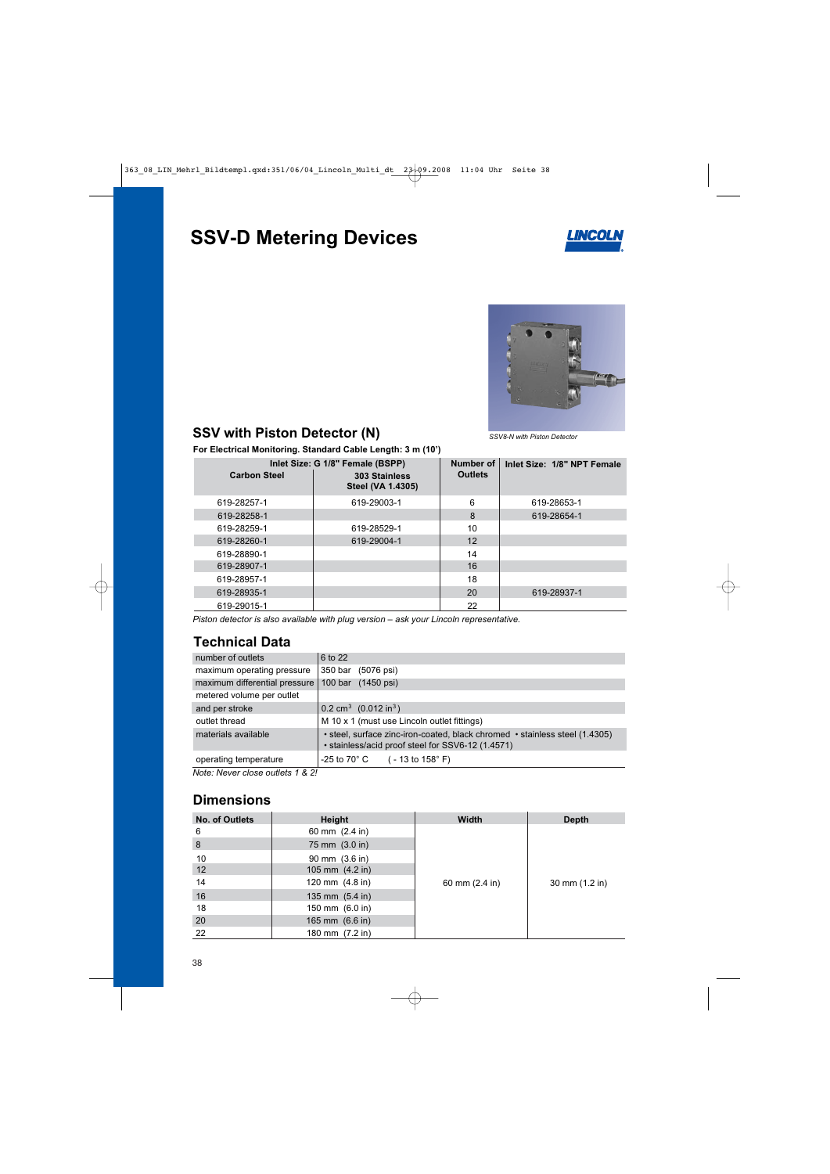# **SSV-D Metering Devices**





## **SSV with Piston Detector (N)**

*SSV8-N with Piston Detector*

**For Electrical Monitoring. Standard Cable Length: 3 m (10')**

| <b>Carbon Steel</b> | Inlet Size: G 1/8" Female (BSPP)<br>303 Stainless<br><b>Steel (VA 1.4305)</b> | Number of<br><b>Outlets</b> | Inlet Size: 1/8" NPT Female |
|---------------------|-------------------------------------------------------------------------------|-----------------------------|-----------------------------|
| 619-28257-1         | 619-29003-1                                                                   | 6                           | 619-28653-1                 |
| 619-28258-1         |                                                                               | 8                           | 619-28654-1                 |
| 619-28259-1         | 619-28529-1                                                                   | 10                          |                             |
| 619-28260-1         | 619-29004-1                                                                   | $12 \overline{ }$           |                             |
| 619-28890-1         |                                                                               | 14                          |                             |
| 619-28907-1         |                                                                               | 16                          |                             |
| 619-28957-1         |                                                                               | 18                          |                             |
| 619-28935-1         |                                                                               | 20                          | 619-28937-1                 |
| 619-29015-1         |                                                                               | 22                          |                             |

*Piston detector is also available with plug version – ask your Lincoln representative.*

### **Technical Data**

| number of outlets             | 6 to 22                                                                                                                          |
|-------------------------------|----------------------------------------------------------------------------------------------------------------------------------|
| maximum operating pressure    | 350 bar<br>(5076 psi)                                                                                                            |
| maximum differential pressure | 100 bar (1450 psi)                                                                                                               |
| metered volume per outlet     |                                                                                                                                  |
| and per stroke                | 0.2 cm <sup>3</sup> (0.012 in <sup>3</sup> )                                                                                     |
| outlet thread                 | M 10 x 1 (must use Lincoln outlet fittings)                                                                                      |
| materials available           | • steel, surface zinc-iron-coated, black chromed • stainless steel (1.4305)<br>• stainless/acid proof steel for SSV6-12 (1.4571) |
| operating temperature         | $-25$ to 70 $^{\circ}$ C ( - 13 to 158 $^{\circ}$ F)                                                                             |

*Note: Never close outlets 1 & 2!*

### **Dimensions**

| <b>No. of Outlets</b> | <b>Height</b>             | <b>Width</b>             | <b>Depth</b>   |
|-----------------------|---------------------------|--------------------------|----------------|
| 6                     | 60 mm $(2.4 \text{ in})$  |                          |                |
| 8                     | 75 mm (3.0 in)            |                          |                |
| 10                    | 90 mm $(3.6 \text{ in})$  |                          |                |
| 12                    | 105 mm $(4.2 \text{ in})$ |                          |                |
| 14                    | 120 mm $(4.8 \text{ in})$ | 60 mm $(2.4 \text{ in})$ | 30 mm (1.2 in) |
| 16                    | 135 mm $(5.4 \text{ in})$ |                          |                |
| 18                    | 150 mm (6.0 in)           |                          |                |
| 20                    | 165 mm (6.6 in)           |                          |                |
| 22                    | 180 mm (7.2 in)           |                          |                |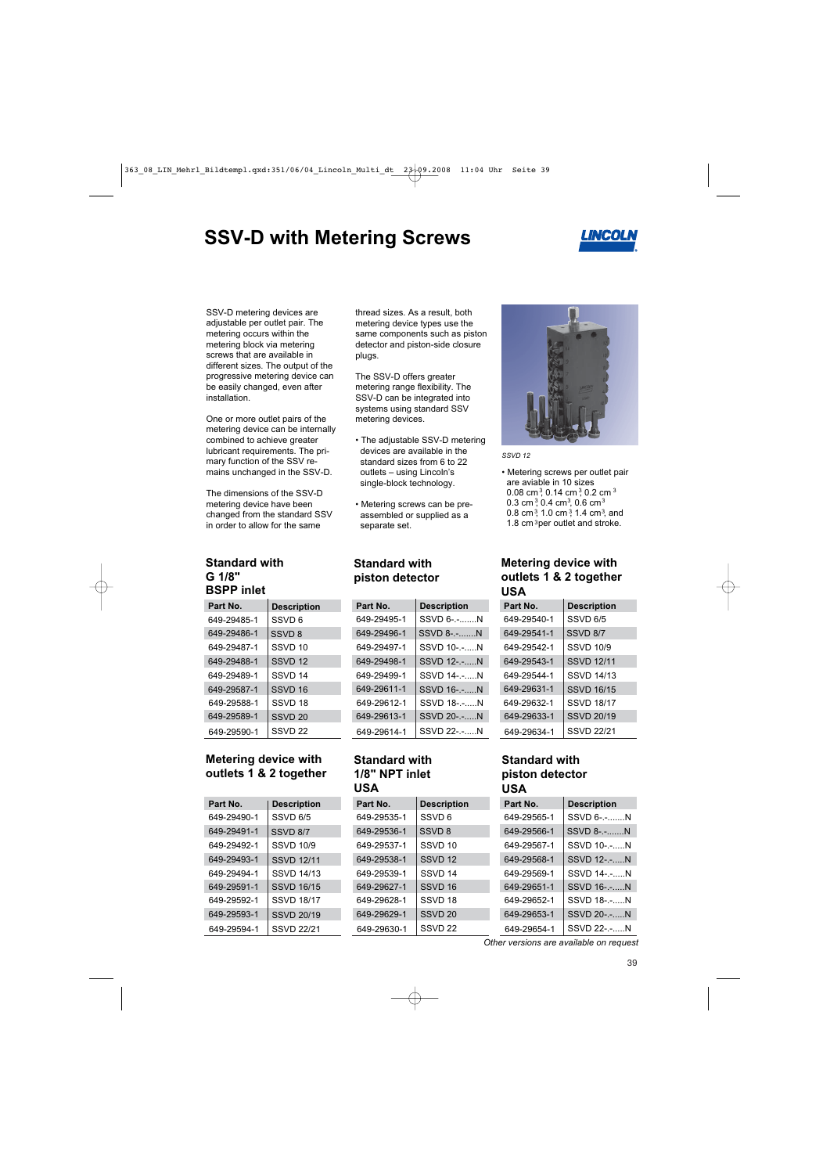# **SSV-D with Metering Screws**



SSV-D metering devices are adjustable per outlet pair. The metering occurs within the metering block via metering screws that are available in different sizes. The output of the progressive metering device can be easily changed, even after installation.

One or more outlet pairs of the metering device can be internally combined to achieve greater lubricant requirements. The primary function of the SSV remains unchanged in the SSV-D.

The dimensions of the SSV-D metering device have been changed from the standard SSV in order to allow for the same

#### **Standard with G 1/8" BSPP inlet**

| Part No.    | <b>Description</b> |
|-------------|--------------------|
| 649-29485-1 | SSVD 6             |
| 649-29486-1 | SSVD <sub>8</sub>  |
| 649-29487-1 | SSVD 10            |
| 649-29488-1 | SSVD <sub>12</sub> |
| 649-29489-1 | SSVD 14            |
| 649-29587-1 | SSVD 16            |
| 649-29588-1 | SSVD 18            |
| 649-29589-1 | SSVD 20            |
| 649-29590-1 | SSVD <sub>22</sub> |

#### **Metering device with outlets 1 & 2 together**

| Part No.    | <b>Description</b> |
|-------------|--------------------|
| 649-29490-1 | SSVD 6/5           |
| 649-29491-1 | SSVD 8/7           |
| 649-29492-1 | <b>SSVD 10/9</b>   |
| 649-29493-1 | <b>SSVD 12/11</b>  |
| 649-29494-1 | <b>SSVD 14/13</b>  |
| 649-29591-1 | <b>SSVD 16/15</b>  |
| 649-29592-1 | <b>SSVD 18/17</b>  |
| 649-29593-1 | SSVD 20/19         |
| 649-29594-1 | <b>SSVD 22/21</b>  |

thread sizes. As a result, both metering device types use the same components such as piston detector and piston-side closure plugs.

The SSV-D offers greater metering range flexibility. The SSV-D can be integrated into systems using standard SSV metering devices.

- The adjustable SSV-D metering devices are available in the standard sizes from 6 to 22 outlets – using Lincoln's single-block technology.
- Metering screws can be pre assembled or supplied as a separate set.

#### **Standard with piston detector**

| Part No.    | <b>Description</b> |
|-------------|--------------------|
| 649-29495-1 | SSVD 6-.-N         |
| 649-29496-1 | SSVD 8-.-N         |
| 649-29497-1 | SSVD 10-.-N        |
| 649-29498-1 | SSVD 12-.-N        |
| 649-29499-1 | SSVD 14-.-N        |
| 649-29611-1 | SSVD 16-.-N        |
| 649-29612-1 | SSVD 18-.-N        |
| 649-29613-1 | SSVD 20-.-N        |
| 649-29614-1 | SSVD 22-.-N        |

#### **Standard with 1/8" NPT inlet USA**

| Part No.    | <b>Description</b> | Part No.    | <b>Description</b> |  |
|-------------|--------------------|-------------|--------------------|--|
| 649-29535-1 | SSVD <sub>6</sub>  | 649-29565-1 | SSVD 6-.-N         |  |
| 649-29536-1 | SSVD <sub>8</sub>  | 649-29566-1 | SSVD 8-.-N         |  |
| 649-29537-1 | SSVD <sub>10</sub> | 649-29567-1 | SSVD 10-.-N        |  |
| 649-29538-1 | SSVD <sub>12</sub> | 649-29568-1 | SSVD 12-.-N        |  |
| 649-29539-1 | SSVD <sub>14</sub> | 649-29569-1 | SSVD 14-.-N        |  |
| 649-29627-1 | SSVD <sub>16</sub> | 649-29651-1 | SSVD 16-.-N        |  |
| 649-29628-1 | SSVD 18            | 649-29652-1 | SSVD 18-.-N        |  |
| 649-29629-1 | SSVD <sub>20</sub> | 649-29653-1 | SSVD 20-.-N        |  |
| 649-29630-1 | SSVD <sub>22</sub> | 649-29654-1 | SSVD 22-.-N        |  |



*SSVD 12*

- Metering screws per outlet pair are aviable in 10 sizes 0.08 cm<sup>3</sup>, 0.14 cm<sup>3</sup>, 0.2 cm<sup>3</sup> 0.3 cm<sup>3</sup>, 0.4 cm<sup>3</sup>, 0.6 cm<sup>3</sup> 0.8 cm<sup>3</sup>, 1.0 cm<sup>3</sup>, 1.4 cm<sup>3</sup>, and
- 1.8 cm $3$ per outlet and stroke.

#### **Metering device with outlets 1 & 2 together USA**

| Part No.    | <b>Description</b> |
|-------------|--------------------|
| 649-29540-1 | SSVD 6/5           |
| 649-29541-1 | SSVD 8/7           |
| 649-29542-1 | <b>SSVD 10/9</b>   |
| 649-29543-1 | <b>SSVD 12/11</b>  |
| 649-29544-1 | <b>SSVD 14/13</b>  |
| 649-29631-1 | <b>SSVD 16/15</b>  |
| 649-29632-1 | <b>SSVD 18/17</b>  |
| 649-29633-1 | SSVD 20/19         |
| 649-29634-1 | SSVD 22/21         |
|             |                    |

#### **Standard with piston detector USA**

| Part No.    | <b>Description</b> |
|-------------|--------------------|
| 649-29565-1 | SSVD 6-.-N         |
| 649-29566-1 | SSVD 8-.-N         |
| 649-29567-1 | SSVD 10-.-N        |
| 649-29568-1 | SSVD 12-.-N        |
| 649-29569-1 | SSVD 14-.-N        |
| 649-29651-1 | <b>SSVD 16-.-N</b> |
| 649-29652-1 | SSVD 18-.-N        |
| 649-29653-1 | SSVD 20-.-N        |
| 640-20654-1 | SSVD 22- -<br>N    |

*Other versions are available on request*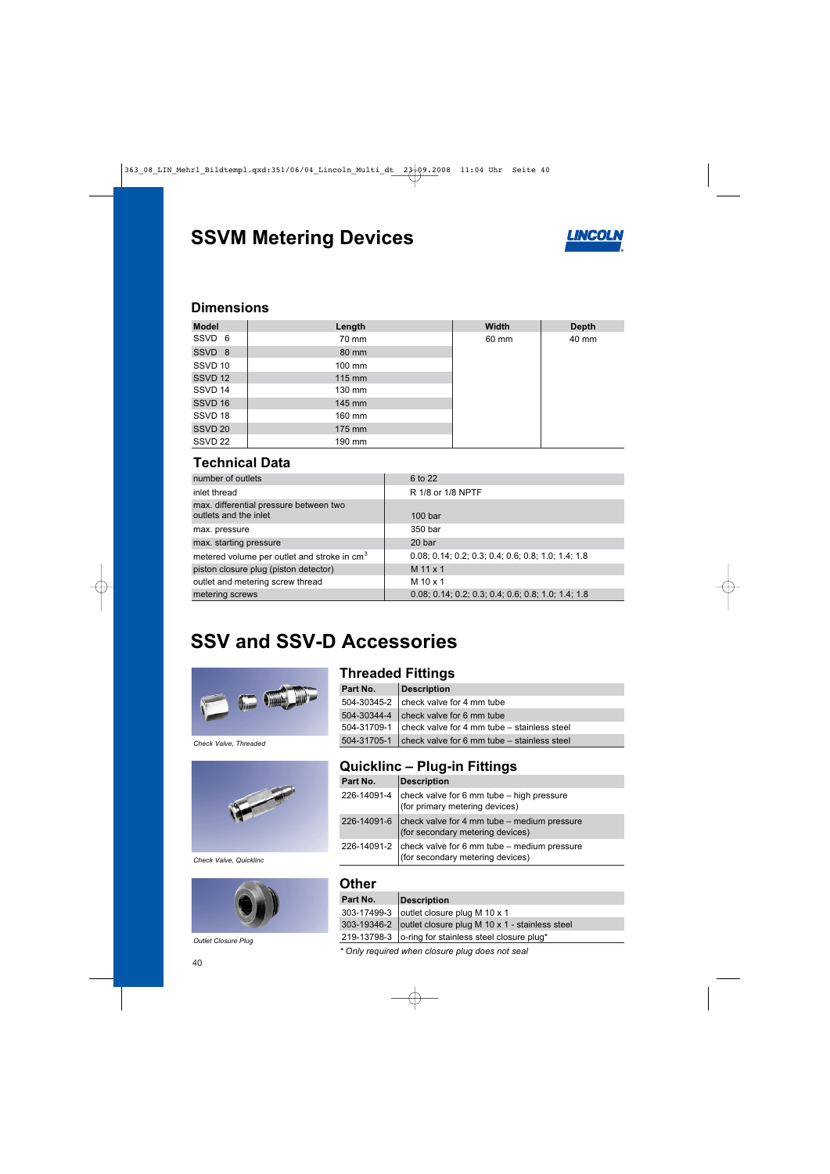# **SSVM Metering Devices**



### **Dimensions**

| <b>Model</b>       | Length           | <b>Width</b> | <b>Depth</b> |
|--------------------|------------------|--------------|--------------|
| SSVD 6             | 70 mm            | 60 mm        | 40 mm        |
| SSVD 8             | 80 mm            |              |              |
| SSVD 10            | $100 \text{ mm}$ |              |              |
| SSVD 12            | 115 mm           |              |              |
| SSVD 14            | $130 \text{ mm}$ |              |              |
| SSVD 16            | $145$ mm         |              |              |
| SSVD 18            | 160 mm           |              |              |
| SSVD <sub>20</sub> | $175$ mm         |              |              |
| SSVD <sub>22</sub> | 190 mm           |              |              |

### **Technical Data**

| number of outlets                                               | 6 to 22                                              |
|-----------------------------------------------------------------|------------------------------------------------------|
| inlet thread                                                    | R 1/8 or 1/8 NPTF                                    |
| max. differential pressure between two<br>outlets and the inlet | 100 <sub>bar</sub>                                   |
| max. pressure                                                   | 350 bar                                              |
| max. starting pressure                                          | 20 bar                                               |
| metered volume per outlet and stroke in cm <sup>3</sup>         | $0.08; 0.14; 0.2; 0.3; 0.4; 0.6; 0.8; 1.0; 1.4; 1.8$ |
| piston closure plug (piston detector)                           | $M$ 11 $\times$ 1                                    |
| outlet and metering screw thread                                | $M$ 10 $\times$ 1                                    |
| metering screws                                                 | $0.08; 0.14; 0.2; 0.3; 0.4; 0.6; 0.8; 1.0; 1.4; 1.8$ |

# **SSV and SSV-D Accessories**



*Check Valve, Threaded*



*Check Valve, Quicklinc*



*Outlet Closure Plug*

### **Threaded Fittings**

| Part No.    | <b>Description</b>                                        |
|-------------|-----------------------------------------------------------|
|             | $504-30345-2$ check valve for 4 mm tube                   |
|             | 504-30344-4   check valve for 6 mm tube                   |
| 504-31709-1 | check valve for 4 mm tube – stainless steel               |
|             | $504-31705-1$ check valve for 6 mm tube – stainless steel |

## **Quicklinc – Plug-in Fittings**

| Part No. | <b>Description</b>                                                                              |
|----------|-------------------------------------------------------------------------------------------------|
|          | 226-14091-4 $ $ check valve for 6 mm tube – high pressure<br>(for primary metering devices)     |
|          | 226-14091-6 $ $ check valve for 4 mm tube – medium pressure<br>(for secondary metering devices) |
|          | 226-14091-2 $ $ check valve for 6 mm tube – medium pressure<br>(for secondary metering devices) |

#### **Other**

| Part No.                                        | <b>Description</b>                                         |
|-------------------------------------------------|------------------------------------------------------------|
|                                                 | 303-17499-3 outlet closure plug M 10 x 1                   |
|                                                 | 303-19346-2 outlet closure plug M 10 x 1 - stainless steel |
|                                                 | 219-13798-3   o-ring for stainless steel closure plug*     |
| * Only required when closure plug does not seal |                                                            |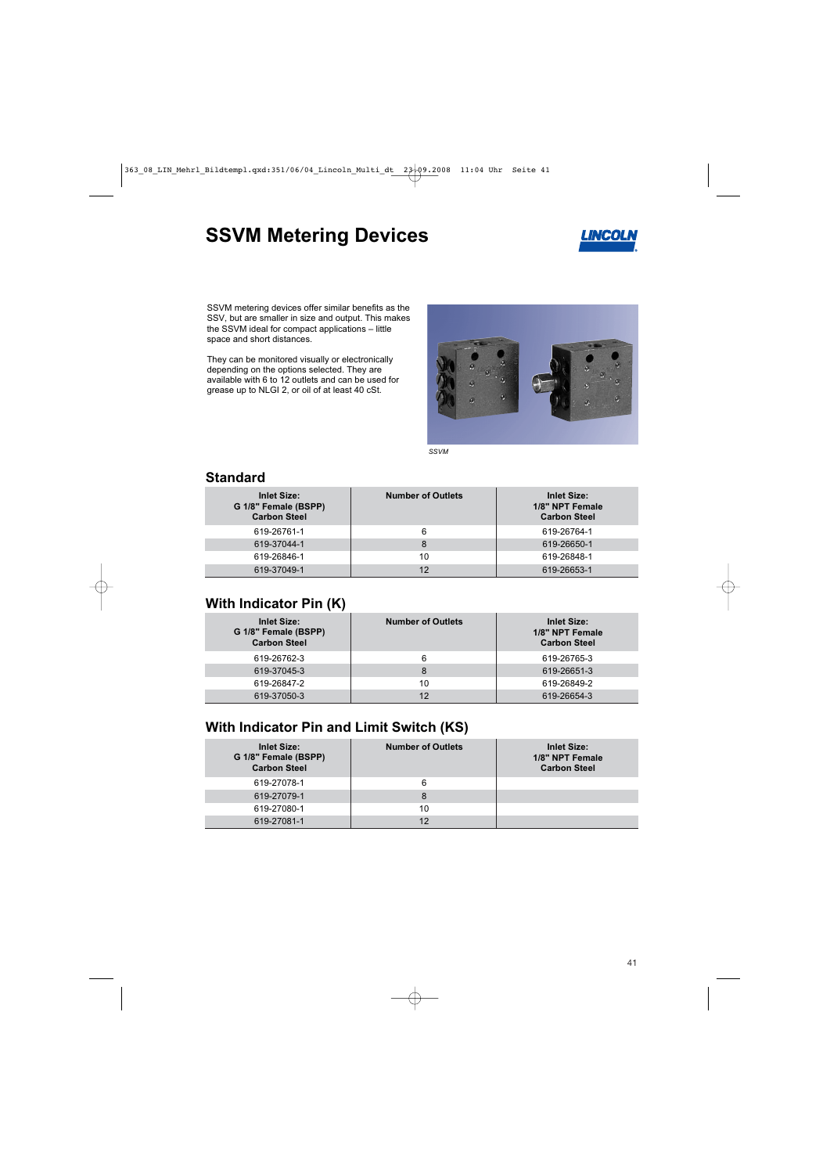# **SSVM Metering Devices**



SSVM metering devices offer similar benefits as the SSV, but are smaller in size and output. This makes the SSVM ideal for compact applications – little space and short distances.

They can be monitored visually or electronically depending on the options selected. They are available with 6 to 12 outlets and can be used for grease up to NLGI 2, or oil of at least 40 cSt.



*SSVM* 

| <b>Inlet Size:</b><br>G 1/8" Female (BSPP)<br><b>Carbon Steel</b> | <b>Number of Outlets</b> | <b>Inlet Size:</b><br>1/8" NPT Female<br><b>Carbon Steel</b> |
|-------------------------------------------------------------------|--------------------------|--------------------------------------------------------------|
| 619-26761-1                                                       | 6                        | 619-26764-1                                                  |
| 619-37044-1                                                       | 8                        | 619-26650-1                                                  |
| 619-26846-1                                                       | 10                       | 619-26848-1                                                  |
| 619-37049-1                                                       | 12                       | 619-26653-1                                                  |

#### **Standard**

#### **With Indicator Pin (K)**

| <b>Inlet Size:</b><br>G 1/8" Female (BSPP)<br><b>Carbon Steel</b> | <b>Number of Outlets</b> | <b>Inlet Size:</b><br>1/8" NPT Female<br><b>Carbon Steel</b> |
|-------------------------------------------------------------------|--------------------------|--------------------------------------------------------------|
| 619-26762-3                                                       | 6                        | 619-26765-3                                                  |
| 619-37045-3                                                       | 8                        | 619-26651-3                                                  |
| 619-26847-2                                                       | 10                       | 619-26849-2                                                  |
| 619-37050-3                                                       | 12                       | 619-26654-3                                                  |

### **With Indicator Pin and Limit Switch (KS)**

| <b>Inlet Size:</b><br>G 1/8" Female (BSPP)<br><b>Carbon Steel</b> | <b>Number of Outlets</b> | <b>Inlet Size:</b><br>1/8" NPT Female<br><b>Carbon Steel</b> |
|-------------------------------------------------------------------|--------------------------|--------------------------------------------------------------|
| 619-27078-1                                                       | 6                        |                                                              |
| 619-27079-1                                                       | 8                        |                                                              |
| 619-27080-1                                                       | 10                       |                                                              |
| 619-27081-1                                                       | 12                       |                                                              |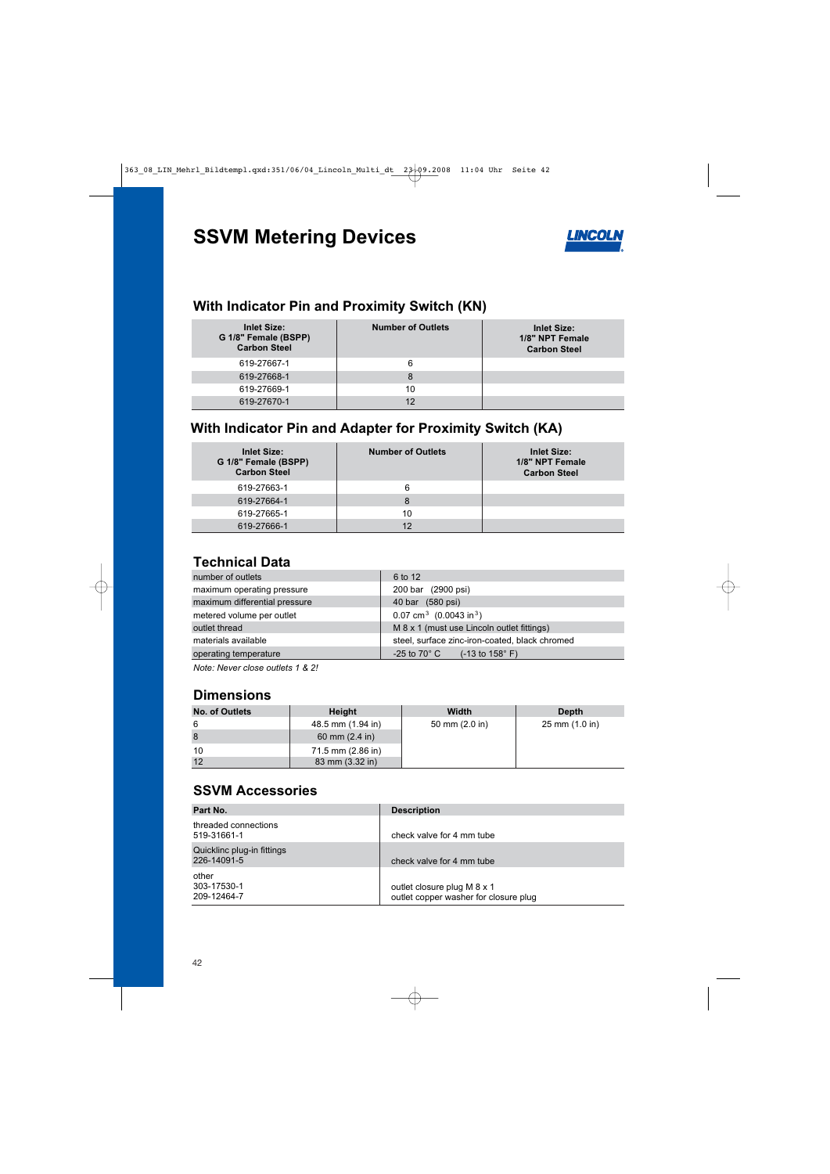# **SSVM Metering Devices**



### **With Indicator Pin and Proximity Switch (KN)**

| <b>Inlet Size:</b><br>G 1/8" Female (BSPP)<br><b>Carbon Steel</b> | <b>Number of Outlets</b> | <b>Inlet Size:</b><br>1/8" NPT Female<br><b>Carbon Steel</b> |
|-------------------------------------------------------------------|--------------------------|--------------------------------------------------------------|
| 619-27667-1                                                       | 6                        |                                                              |
| 619-27668-1                                                       | 8                        |                                                              |
| 619-27669-1                                                       | 10                       |                                                              |
| 619-27670-1                                                       | 12                       |                                                              |

# **With Indicator Pin and Adapter for Proximity Switch (KA)**

| <b>Inlet Size:</b><br>G 1/8" Female (BSPP)<br><b>Carbon Steel</b> | <b>Number of Outlets</b> | <b>Inlet Size:</b><br>1/8" NPT Female<br><b>Carbon Steel</b> |
|-------------------------------------------------------------------|--------------------------|--------------------------------------------------------------|
| 619-27663-1                                                       | 6                        |                                                              |
| 619-27664-1                                                       | 8                        |                                                              |
| 619-27665-1                                                       | 10                       |                                                              |
| 619-27666-1                                                       | 12                       |                                                              |

### **Technical Data**

| number of outlets             | 6 to 12                                            |
|-------------------------------|----------------------------------------------------|
| maximum operating pressure    | 200 bar (2900 psi)                                 |
| maximum differential pressure | 40 bar (580 psi)                                   |
| metered volume per outlet     | 0.07 cm <sup>3</sup> (0.0043 in <sup>3</sup> )     |
| outlet thread                 | M 8 x 1 (must use Lincoln outlet fittings)         |
| materials available           | steel, surface zinc-iron-coated, black chromed     |
| operating temperature         | $-25$ to 70 $^{\circ}$ C (-13 to 158 $^{\circ}$ F) |

*Note: Never close outlets 1 & 2!* 

#### **Dimensions**

| No. of Outlets | <b>Height</b>            | <b>Width</b>             | <b>Depth</b>                     |
|----------------|--------------------------|--------------------------|----------------------------------|
| 6              | 48.5 mm (1.94 in)        | 50 mm $(2.0 \text{ in})$ | $25 \text{ mm} (1.0 \text{ in})$ |
| 8              | 60 mm $(2.4 \text{ in})$ |                          |                                  |
| 10             | 71.5 mm (2.86 in)        |                          |                                  |
| 12             | 83 mm (3.32 in)          |                          |                                  |

### **SSVM Accessories**

| Part No.                                  | <b>Description</b>                                                   |
|-------------------------------------------|----------------------------------------------------------------------|
| threaded connections<br>519-31661-1       | check valve for 4 mm tube                                            |
| Quicklinc plug-in fittings<br>226-14091-5 | check valve for 4 mm tube                                            |
| other<br>303-17530-1<br>209-12464-7       | outlet closure plug M 8 x 1<br>outlet copper washer for closure plug |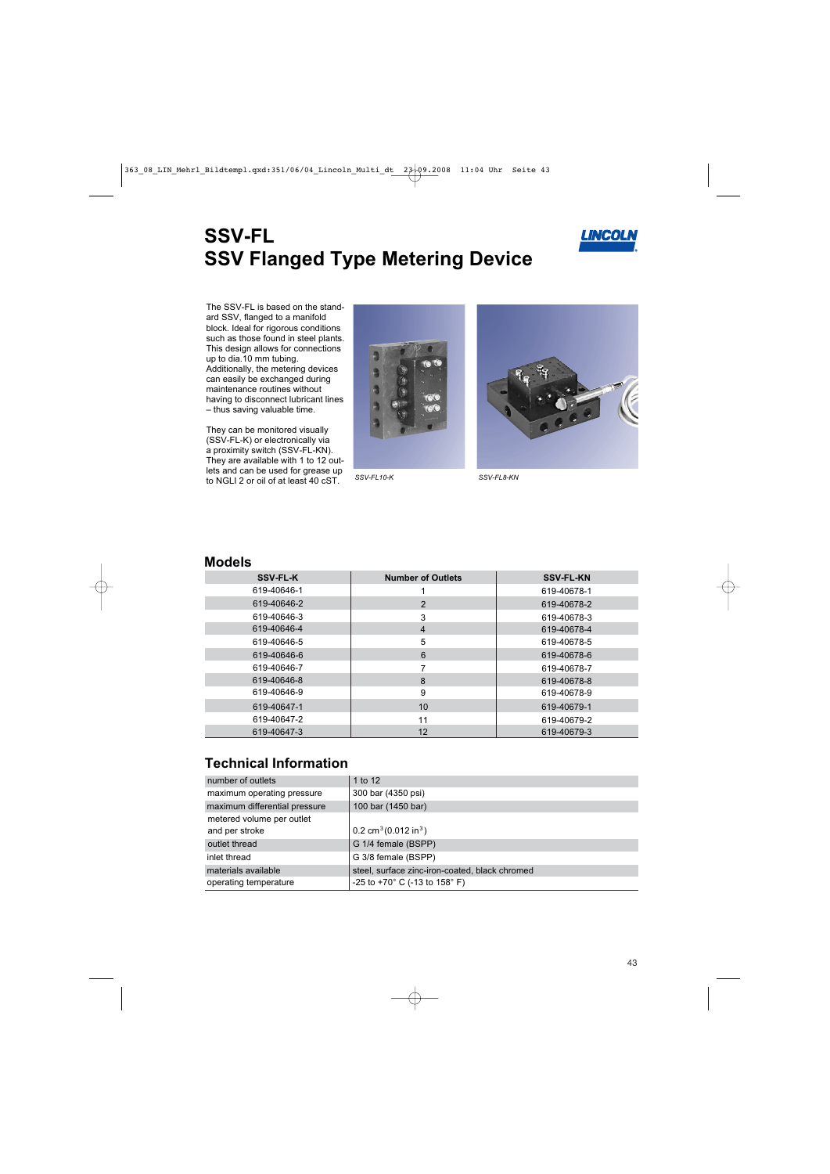# **SSV-FL SSV Flanged Type Metering Device**



The SSV-FL is based on the standard SSV, flanged to a manifold block. Ideal for rigorous conditions such as those found in steel plants. This design allows for connections up to dia.10 mm tubing. Additionally, the metering devices can easily be exchanged during maintenance routines without having to disconnect lubricant lines – thus saving valuable time.

They can be monitored visually (SSV-FL-K) or electronically via a proximity switch (SSV-FL-KN). They are available with 1 to 12 outlets and can be used for grease up to NGLI 2 or oil of at least 40 cST. *SSV-FL10-K SSV-FL8-KN*





#### **Models**

| <b>SSV-FL-K</b> | <b>Number of Outlets</b> | <b>SSV-FL-KN</b> |
|-----------------|--------------------------|------------------|
| 619-40646-1     |                          | 619-40678-1      |
| 619-40646-2     | 2                        | 619-40678-2      |
| 619-40646-3     | 3                        | 619-40678-3      |
| 619-40646-4     | 4                        | 619-40678-4      |
| 619-40646-5     | 5                        | 619-40678-5      |
| 619-40646-6     | 6                        | 619-40678-6      |
| 619-40646-7     |                          | 619-40678-7      |
| 619-40646-8     | 8                        | 619-40678-8      |
| 619-40646-9     | 9                        | 619-40678-9      |
| 619-40647-1     | 10                       | 619-40679-1      |
| 619-40647-2     | 11                       | 619-40679-2      |
| 619-40647-3     | 12                       | 619-40679-3      |

### **Technical Information**

| number of outlets                           | 1 to 12                                           |
|---------------------------------------------|---------------------------------------------------|
| maximum operating pressure                  | 300 bar (4350 psi)                                |
| maximum differential pressure               | 100 bar (1450 bar)                                |
| metered volume per outlet<br>and per stroke | 0.2 cm <sup>3</sup> (0.012 in <sup>3</sup> )      |
| outlet thread                               | G 1/4 female (BSPP)                               |
| inlet thread                                | G 3/8 female (BSPP)                               |
| materials available                         | steel, surface zinc-iron-coated, black chromed    |
| operating temperature                       | -25 to +70 $^{\circ}$ C (-13 to 158 $^{\circ}$ F) |